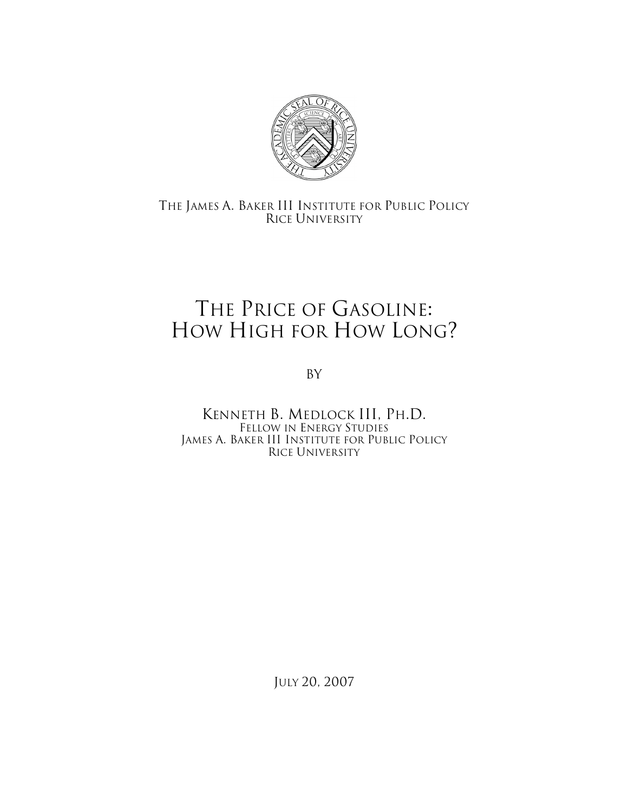

## THE JAMES A. BAKER III INSTITUTE FOR PUBLIC POLICY RICE UNIVERSITY

## THE PRICE OF GASOLINE: HOW HIGH FOR HOW LONG?

By

KENNETH B. MEDLOCK III, PH.D. FELLOW IN ENERGY STUDIES JAMES A. BAKER III INSTITUTE FOR PUBLIC POLICY RICE UNIVERSITY

JULY 20, 2007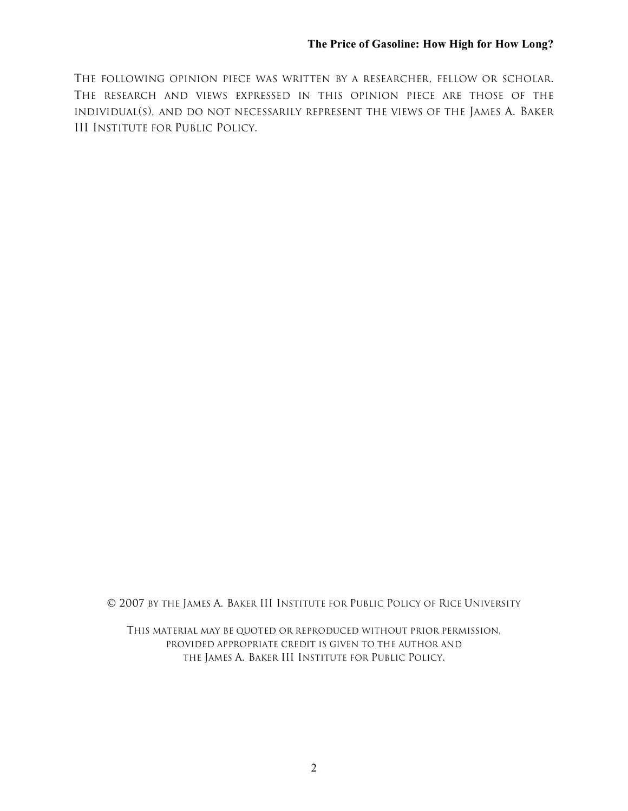THE FOLLOWING OPINION PIECE WAS WRITTEN BY A RESEARCHER, FELLOW OR SCHOLAR. THE RESEARCH AND VIEWS EXPRESSED IN THIS OPINION PIECE ARE THOSE OF THE INDIVIDUAL(S), AND DO NOT NECESSARILY REPRESENT THE VIEWS OF THE JAMES A. BAKER III INSTITUTE FOR PUBLIC POLICY.

© 2007 BY THE JAMES A. BAKER III INSTITUTE FOR PUBLIC POLICY OF RICE UNIVERSITY

THIS MATERIAL MAY BE QUOTED OR REPRODUCED WITHOUT PRIOR PERMISSION, PROVIDED APPROPRIATE CREDIT IS GIVEN TO THE AUTHOR AND THE JAMES A. BAKER III INSTITUTE FOR PUBLIC POLICY.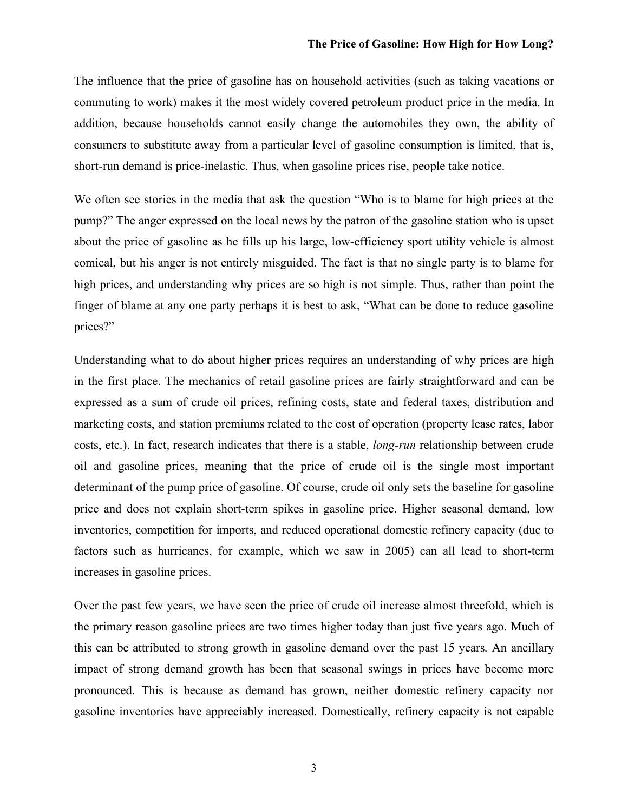The influence that the price of gasoline has on household activities (such as taking vacations or commuting to work) makes it the most widely covered petroleum product price in the media. In addition, because households cannot easily change the automobiles they own, the ability of consumers to substitute away from a particular level of gasoline consumption is limited, that is, short-run demand is price-inelastic. Thus, when gasoline prices rise, people take notice.

We often see stories in the media that ask the question "Who is to blame for high prices at the pump?" The anger expressed on the local news by the patron of the gasoline station who is upset about the price of gasoline as he fills up his large, low-efficiency sport utility vehicle is almost comical, but his anger is not entirely misguided. The fact is that no single party is to blame for high prices, and understanding why prices are so high is not simple. Thus, rather than point the finger of blame at any one party perhaps it is best to ask, "What can be done to reduce gasoline prices?"

Understanding what to do about higher prices requires an understanding of why prices are high in the first place. The mechanics of retail gasoline prices are fairly straightforward and can be expressed as a sum of crude oil prices, refining costs, state and federal taxes, distribution and marketing costs, and station premiums related to the cost of operation (property lease rates, labor costs, etc.). In fact, research indicates that there is a stable, *long-run* relationship between crude oil and gasoline prices, meaning that the price of crude oil is the single most important determinant of the pump price of gasoline. Of course, crude oil only sets the baseline for gasoline price and does not explain short-term spikes in gasoline price. Higher seasonal demand, low inventories, competition for imports, and reduced operational domestic refinery capacity (due to factors such as hurricanes, for example, which we saw in 2005) can all lead to short-term increases in gasoline prices.

Over the past few years, we have seen the price of crude oil increase almost threefold, which is the primary reason gasoline prices are two times higher today than just five years ago. Much of this can be attributed to strong growth in gasoline demand over the past 15 years. An ancillary impact of strong demand growth has been that seasonal swings in prices have become more pronounced. This is because as demand has grown, neither domestic refinery capacity nor gasoline inventories have appreciably increased. Domestically, refinery capacity is not capable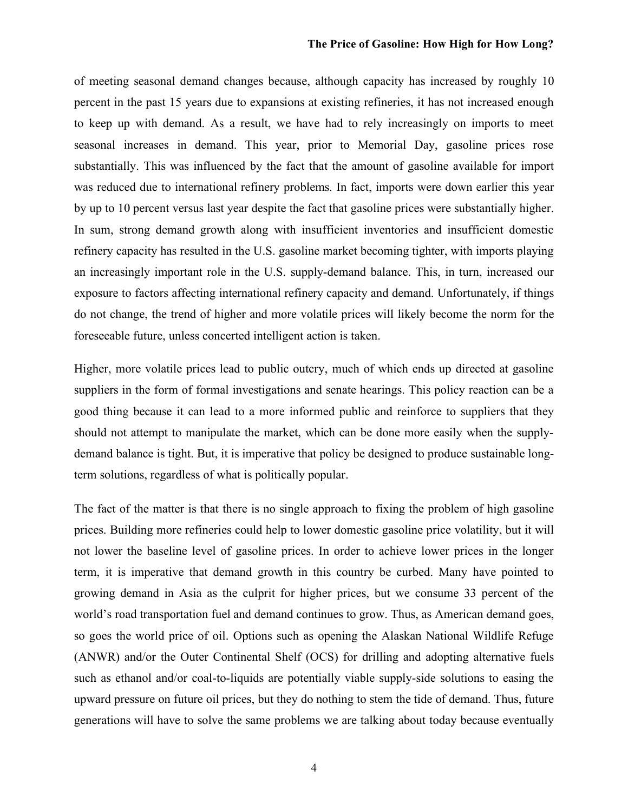## **The Price of Gasoline: How High for How Long?**

of meeting seasonal demand changes because, although capacity has increased by roughly 10 percent in the past 15 years due to expansions at existing refineries, it has not increased enough to keep up with demand. As a result, we have had to rely increasingly on imports to meet seasonal increases in demand. This year, prior to Memorial Day, gasoline prices rose substantially. This was influenced by the fact that the amount of gasoline available for import was reduced due to international refinery problems. In fact, imports were down earlier this year by up to 10 percent versus last year despite the fact that gasoline prices were substantially higher. In sum, strong demand growth along with insufficient inventories and insufficient domestic refinery capacity has resulted in the U.S. gasoline market becoming tighter, with imports playing an increasingly important role in the U.S. supply-demand balance. This, in turn, increased our exposure to factors affecting international refinery capacity and demand. Unfortunately, if things do not change, the trend of higher and more volatile prices will likely become the norm for the foreseeable future, unless concerted intelligent action is taken.

Higher, more volatile prices lead to public outcry, much of which ends up directed at gasoline suppliers in the form of formal investigations and senate hearings. This policy reaction can be a good thing because it can lead to a more informed public and reinforce to suppliers that they should not attempt to manipulate the market, which can be done more easily when the supplydemand balance is tight. But, it is imperative that policy be designed to produce sustainable longterm solutions, regardless of what is politically popular.

The fact of the matter is that there is no single approach to fixing the problem of high gasoline prices. Building more refineries could help to lower domestic gasoline price volatility, but it will not lower the baseline level of gasoline prices. In order to achieve lower prices in the longer term, it is imperative that demand growth in this country be curbed. Many have pointed to growing demand in Asia as the culprit for higher prices, but we consume 33 percent of the world's road transportation fuel and demand continues to grow. Thus, as American demand goes, so goes the world price of oil. Options such as opening the Alaskan National Wildlife Refuge (ANWR) and/or the Outer Continental Shelf (OCS) for drilling and adopting alternative fuels such as ethanol and/or coal-to-liquids are potentially viable supply-side solutions to easing the upward pressure on future oil prices, but they do nothing to stem the tide of demand. Thus, future generations will have to solve the same problems we are talking about today because eventually